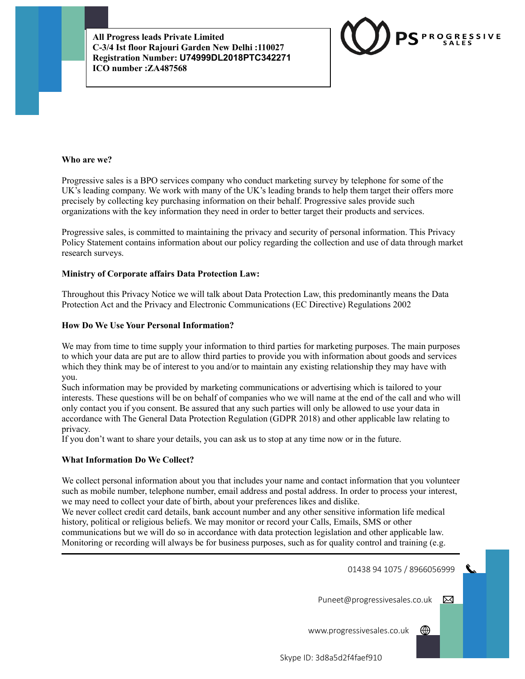

## **Who are we?**

Progressive sales is a BPO services company who conduct marketing survey by telephone for some of the UK's leading company. We work with many of the UK's leading brands to help them target their offers more precisely by collecting key purchasing information on their behalf. Progressive sales provide such organizations with the key information they need in order to better target their products and services.

Progressive sales, is committed to maintaining the privacy and security of personal information. This Privacy Policy Statement contains information about our policy regarding the collection and use of data through market research surveys.

## **Ministry of Corporate affairs Data Protection Law:**

Throughout this Privacy Notice we will talk about Data Protection Law, this predominantly means the Data Protection Act and the Privacy and Electronic Communications (EC Directive) Regulations 2002

#### **How Do We Use Your Personal Information?**

We may from time to time supply your information to third parties for marketing purposes. The main purposes to which your data are put are to allow third parties to provide you with information about goods and services which they think may be of interest to you and/or to maintain any existing relationship they may have with you.

Such information may be provided by marketing communications or advertising which is tailored to your interests. These questions will be on behalf of companies who we will name at the end of the call and who will only contact you if you consent. Be assured that any such parties will only be allowed to use your data in accordance with The General Data Protection Regulation (GDPR 2018) and other applicable law relating to privacy.

If you don't want to share your details, you can ask us to stop at any time now or in the future.

#### **What Information Do We Collect?**

We collect personal information about you that includes your name and contact information that you volunteer such as mobile number, telephone number, email address and postal address. In order to process your interest, we may need to collect your date of birth, about your preferences likes and dislike.

We never collect credit card details, bank account number and any other sensitive information life medical history, political or religious beliefs. We may monitor or record your Calls, Emails, SMS or other communications but we will do so in accordance with data protection legislation and other applicable law. Monitoring or recording will always be for business purposes, such as for quality control and training (e.g.

01438 94 1075 / 8966056999

Puneet@progressivesales.co.uk  $\boxtimes$ 

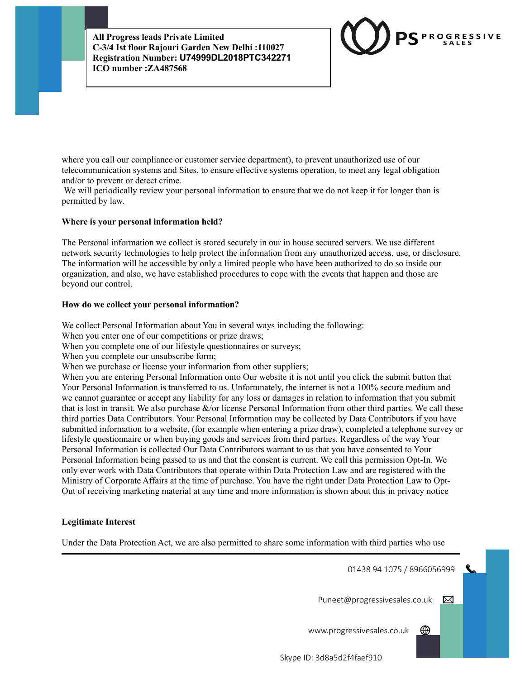

where you call our compliance or customer service department), to prevent unauthorized use of our telecommunication systems and Sites, to ensure effective systems operation, to meet any legal obligation and/or to prevent or detect crime.

We will periodically review your personal information to ensure that we do not keep it for longer than is permitted by law.

# **Where is your personal information held?**

The Personal information we collect is stored securely in our in house secured servers. We use different network security technologies to help protect the information from any unauthorized access, use, or disclosure. The information will be accessible by only a limited people who have been authorized to do so inside our organization, and also, we have established procedures to cope with the events that happen and those are beyond our control.

## **How do we collect your personal information?**

We collect Personal Information about You in several ways including the following:

When you enter one of our competitions or prize draws;

When you complete one of our lifestyle questionnaires or surveys;

When you complete our unsubscribe form;

When we purchase or license your information from other suppliers;

When you are entering Personal Information onto Our website it is not until you click the submit button that Your Personal Information is transferred to us. Unfortunately, the internet is not a 100% secure medium and we cannot guarantee or accept any liability for any loss or damages in relation to information that you submit that is lost in transit. We also purchase &/or license Personal Information from other third parties. We call these third parties Data Contributors. Your Personal Information may be collected by Data Contributors if you have submitted information to a website, (for example when entering a prize draw), completed a telephone survey or lifestyle questionnaire or when buying goods and services from third parties. Regardless of the way Your Personal Information is collected Our Data Contributors warrant to us that you have consented to Your Personal Information being passed to us and that the consent is current. We call this permission Opt-In. We only ever work with Data Contributors that operate within Data Protection Law and are registered with the Ministry of Corporate Affairs at the time of purchase. You have the right under Data Protection Law to Opt-Out of receiving marketing material at any time and more information is shown about this in privacy notice

# **Legitimate Interest**

Under the Data Protection Act, we are also permitted to share some information with third parties who use

01438 94 1075 / 8966056999

Puneet@progressivesales.co.uk  $\boxtimes$ 

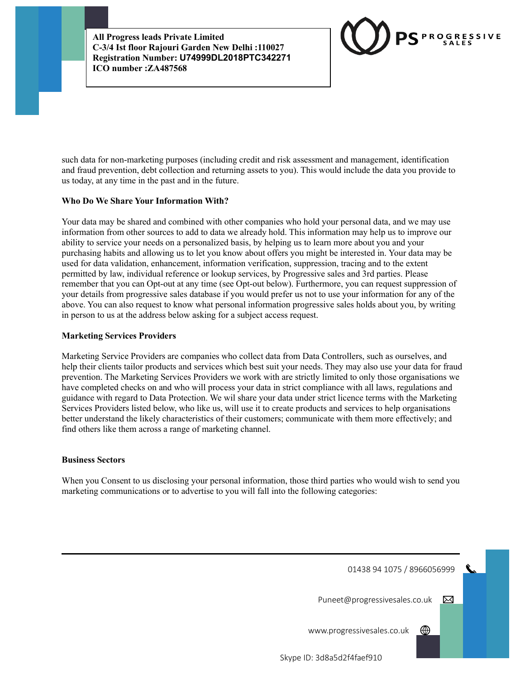

such data for non-marketing purposes (including credit and risk assessment and management, identification and fraud prevention, debt collection and returning assets to you). This would include the data you provide to us today, at any time in the past and in the future.

# **Who Do We Share Your Information With?**

Your data may be shared and combined with other companies who hold your personal data, and we may use information from other sources to add to data we already hold. This information may help us to improve our ability to service your needs on a personalized basis, by helping us to learn more about you and your purchasing habits and allowing us to let you know about offers you might be interested in. Your data may be used for data validation, enhancement, information verification, suppression, tracing and to the extent permitted by law, individual reference or lookup services, by Progressive sales and 3rd parties. Please remember that you can Opt-out at any time (see Opt-out below). Furthermore, you can request suppression of your details from progressive sales database if you would prefer us not to use your information for any of the above. You can also request to know what personal information progressive sales holds about you, by writing in person to us at the address below asking for a subject access request.

## **Marketing Services Providers**

Marketing Service Providers are companies who collect data from Data Controllers, such as ourselves, and help their clients tailor products and services which best suit your needs. They may also use your data for fraud prevention. The Marketing Services Providers we work with are strictly limited to only those organisations we have completed checks on and who will process your data in strict compliance with all laws, regulations and guidance with regard to Data Protection. We wil share your data under strict licence terms with the Marketing Services Providers listed below, who like us, will use it to create products and services to help organisations better understand the likely characteristics of their customers; communicate with them more effectively; and find others like them across a range of marketing channel.

## **Business Sectors**

When you Consent to us disclosing your personal information, those third parties who would wish to send you marketing communications or to advertise to you will fall into the following categories:

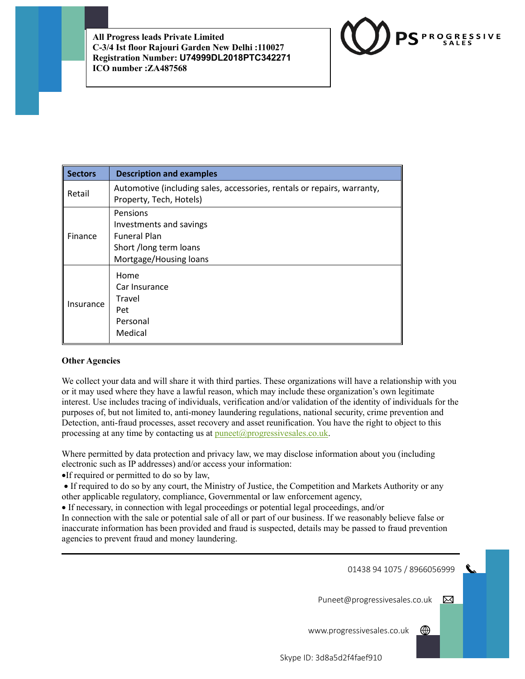

| <b>Sectors</b> | <b>Description and examples</b>                                                                                |
|----------------|----------------------------------------------------------------------------------------------------------------|
| Retail         | Automotive (including sales, accessories, rentals or repairs, warranty,<br>Property, Tech, Hotels)             |
| Finance        | Pensions<br>Investments and savings<br><b>Funeral Plan</b><br>Short /long term loans<br>Mortgage/Housing loans |
| Insurance      | Home<br>Car Insurance<br>Travel<br>Pet<br>Personal<br>Medical                                                  |

# **Other Agencies**

We collect your data and will share it with third parties. These organizations will have a relationship with you or it may used where they have a lawful reason, which may include these organization's own legitimate interest. Use includes tracing of individuals, verification and/or validation of the identity of individuals for the purposes of, but not limited to, anti-money laundering regulations, national security, crime prevention and Detection, anti-fraud processes, asset recovery and asset reunification. You have the right to object to this processing at any time by contacting us at <u>puneet@progressivesales.co.uk</u>.

Where permitted by data protection and privacy law, we may disclose information about you (including electronic such as IP addresses) and/or access your information:

•If required or permitted to do so by law,

• If required to do so by any court, the Ministry of Justice, the Competition and Markets Authority or any other applicable regulatory, compliance, Governmental or law enforcement agency,

• If necessary, in connection with legal proceedings or potential legal proceedings, and/or

In connection with the sale or potential sale of all or part of our business. If we reasonably believe false or inaccurate information has been provided and fraud is suspected, details may be passed to fraud prevention agencies to prevent fraud and money laundering.

01438 94 1075 / 8966056999

Puneet@progressivesales.co.uk

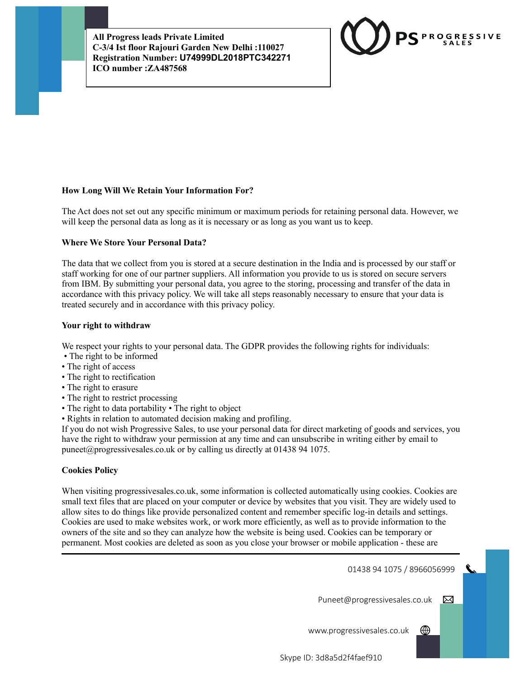

# **How Long Will We Retain Your Information For?**

The Act does not set out any specific minimum or maximum periods for retaining personal data. However, we will keep the personal data as long as it is necessary or as long as you want us to keep.

#### **Where We Store Your Personal Data?**

The data that we collect from you is stored at a secure destination in the India and is processed by our staff or staff working for one of our partner suppliers. All information you provide to us is stored on secure servers from IBM. By submitting your personal data, you agree to the storing, processing and transfer of the data in accordance with this privacy policy. We will take all steps reasonably necessary to ensure that your data is treated securely and in accordance with this privacy policy.

#### **Your right to withdraw**

We respect your rights to your personal data. The GDPR provides the following rights for individuals:

- The right to be informed
- The right of access
- The right to rectification
- The right to erasure
- The right to restrict processing
- The right to data portability The right to object
- Rights in relation to automated decision making and profiling.

If you do not wish Progressive Sales, to use your personal data for direct marketing of goods and services, you have the right to withdraw your permission at any time and can unsubscribe in writing either by email to puneet@progressivesales.co.uk or by calling us directly at 01438 94 1075.

## **Cookies Policy**

When visiting progressivesales.co.uk, some information is collected automatically using cookies. Cookies are small text files that are placed on your computer or device by websites that you visit. They are widely used to allow sites to do things like provide personalized content and remember specific log-in details and settings. Cookies are used to make websites work, or work more efficiently, as well as to provide information to the owners of the site and so they can analyze how the website is being used. Cookies can be temporary or permanent. Most cookies are deleted as soon as you close your browser or mobile application - these are

01438 94 1075 / 8966056999

Puneet@progressivesales.co.uk  $\boxtimes$